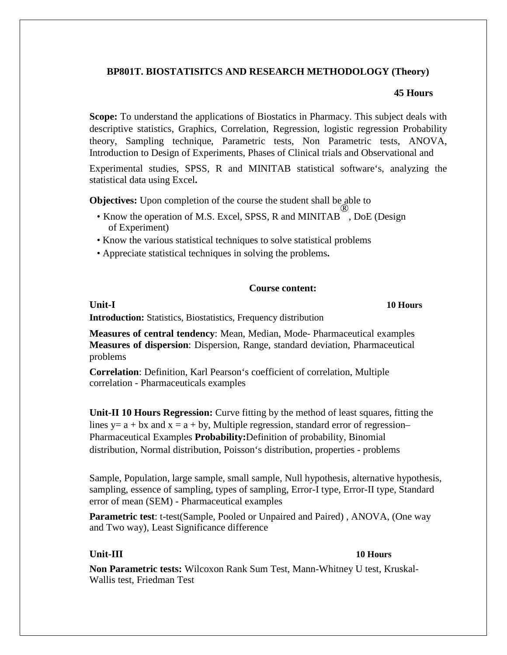## **BP801T. BIOSTATISITCS AND RESEARCH METHODOLOGY (Theory)**

## **45 Hours**

**Scope:** To understand the applications of Biostatics in Pharmacy. This subject deals with descriptive statistics, Graphics, Correlation, Regression, logistic regression Probability theory, Sampling technique, Parametric tests, Non Parametric tests, ANOVA, Introduction to Design of Experiments, Phases of Clinical trials and Observational and

Experimental studies, SPSS, R and MINITAB statistical software's, analyzing the statistical data using Excel**.**

**Objectives:** Upon completion of the course the student shall be able to

- Know the operation of M.S. Excel, SPSS, R and MINITAB ® , DoE (Design of Experiment)
- Know the various statistical techniques to solve statistical problems
- Appreciate statistical techniques in solving the problems**.**

### **Course content:**

**Unit-I**

**10 Hours**

**Introduction:** Statistics, Biostatistics, Frequency distribution

**Measures of central tendency**: Mean, Median, Mode- Pharmaceutical examples **Measures of dispersion**: Dispersion, Range, standard deviation, Pharmaceutical problems

**Correlation**: Definition, Karl Pearson's coefficient of correlation, Multiple correlation - Pharmaceuticals examples

**Unit-II 10 Hours Regression:** Curve fitting by the method of least squares, fitting the lines y=  $a + bx$  and  $x = a + by$ , Multiple regression, standard error of regression– Pharmaceutical Examples **Probability:**Definition of probability, Binomial distribution, Normal distribution, Poisson's distribution, properties - problems

Sample, Population, large sample, small sample, Null hypothesis, alternative hypothesis, sampling, essence of sampling, types of sampling, Error-I type, Error-II type, Standard error of mean (SEM) - Pharmaceutical examples

**Parametric test**: t-test(Sample, Pooled or Unpaired and Paired) , ANOVA, (One way and Two way), Least Significance difference

### **Unit-III 10 Hours**

**Non Parametric tests:** Wilcoxon Rank Sum Test, Mann-Whitney U test, Kruskal-Wallis test, Friedman Test